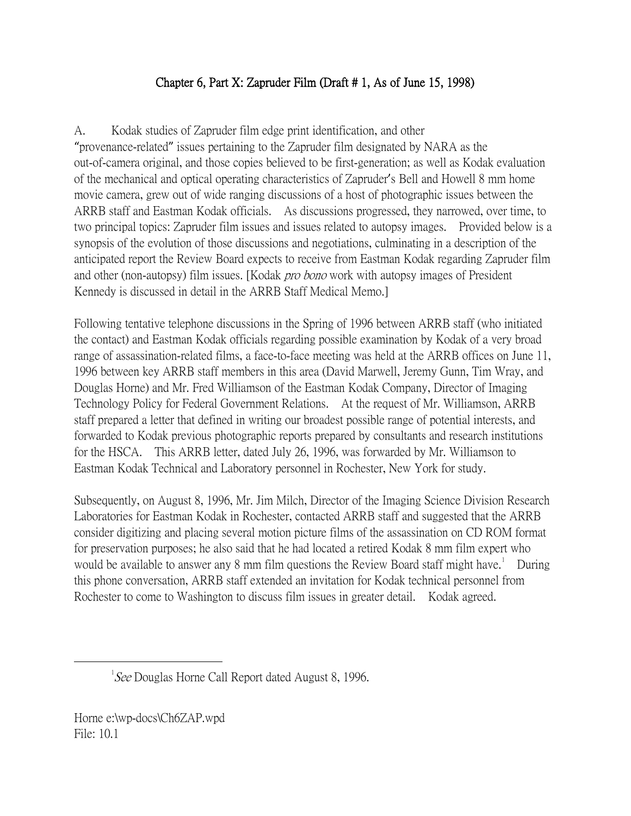## Chapter 6, Part X: Zapruder Film (Draft # 1, As of June 15, 1998)

A. Kodak studies of Zapruder film edge print identification, and other "provenance-related" issues pertaining to the Zapruder film designated by NARA as the out-of-camera original, and those copies believed to be first-generation; as well as Kodak evaluation of the mechanical and optical operating characteristics of Zapruder's Bell and Howell 8 mm home movie camera, grew out of wide ranging discussions of a host of photographic issues between the ARRB staff and Eastman Kodak officials. As discussions progressed, they narrowed, over time, to two principal topics: Zapruder film issues and issues related to autopsy images. Provided below is a synopsis of the evolution of those discussions and negotiations, culminating in a description of the anticipated report the Review Board expects to receive from Eastman Kodak regarding Zapruder film and other (non-autopsy) film issues. [Kodak *pro bono* work with autopsy images of President Kennedy is discussed in detail in the ARRB Staff Medical Memo.]

Following tentative telephone discussions in the Spring of 1996 between ARRB staff (who initiated the contact) and Eastman Kodak officials regarding possible examination by Kodak of a very broad range of assassination-related films, a face-to-face meeting was held at the ARRB offices on June 11, 1996 between key ARRB staff members in this area (David Marwell, Jeremy Gunn, Tim Wray, and Douglas Horne) and Mr. Fred Williamson of the Eastman Kodak Company, Director of Imaging Technology Policy for Federal Government Relations. At the request of Mr. Williamson, ARRB staff prepared a letter that defined in writing our broadest possible range of potential interests, and forwarded to Kodak previous photographic reports prepared by consultants and research institutions for the HSCA. This ARRB letter, dated July 26, 1996, was forwarded by Mr. Williamson to Eastman Kodak Technical and Laboratory personnel in Rochester, New York for study.

Subsequently, on August 8, 1996, Mr. Jim Milch, Director of the Imaging Science Division Research Laboratories for Eastman Kodak in Rochester, contacted ARRB staff and suggested that the ARRB consider digitizing and placing several motion picture films of the assassination on CD ROM format for preservation purposes; he also said that he had located a retired Kodak 8 mm film expert who would be available to answer any 8 mm film questions the Review Board staff might have.<sup>[1](#page-0-0)</sup> During this phone conversation, ARRB staff extended an invitation for Kodak technical personnel from Rochester to come to Washington to discuss film issues in greater detail. Kodak agreed.

<span id="page-0-0"></span> $\overline{\phantom{a}}$  ${}^{1}$ See Douglas Horne Call Report dated August 8, 1996.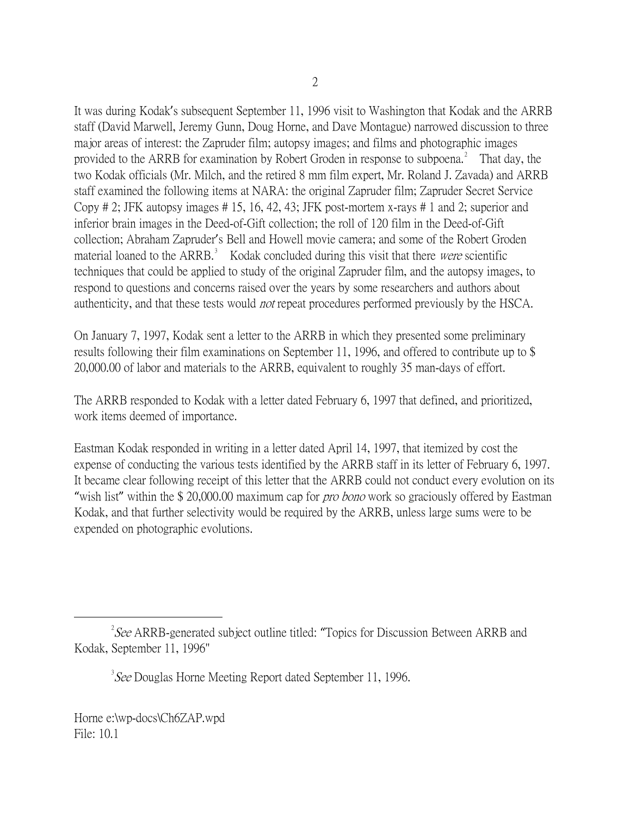It was during Kodak's subsequent September 11, 1996 visit to Washington that Kodak and the ARRB staff (David Marwell, Jeremy Gunn, Doug Horne, and Dave Montague) narrowed discussion to three major areas of interest: the Zapruder film; autopsy images; and films and photographic images provided to the ARRB for examination by Robert Groden in response to subpoena.<sup>[2](#page-1-0)</sup> That day, the two Kodak officials (Mr. Milch, and the retired 8 mm film expert, Mr. Roland J. Zavada) and ARRB staff examined the following items at NARA: the original Zapruder film; Zapruder Secret Service Copy # 2; JFK autopsy images # 15, 16, 42, 43; JFK post-mortem x-rays # 1 and 2; superior and inferior brain images in the Deed-of-Gift collection; the roll of 120 film in the Deed-of-Gift collection; Abraham Zapruder's Bell and Howell movie camera; and some of the Robert Groden material loaned to the ARRB.<sup>[3](#page-1-1)</sup> Kodak concluded during this visit that there were scientific techniques that could be applied to study of the original Zapruder film, and the autopsy images, to respond to questions and concerns raised over the years by some researchers and authors about authenticity, and that these tests would not repeat procedures performed previously by the HSCA.

On January 7, 1997, Kodak sent a letter to the ARRB in which they presented some preliminary results following their film examinations on September 11, 1996, and offered to contribute up to \$ 20,000.00 of labor and materials to the ARRB, equivalent to roughly 35 man-days of effort.

The ARRB responded to Kodak with a letter dated February 6, 1997 that defined, and prioritized, work items deemed of importance.

Eastman Kodak responded in writing in a letter dated April 14, 1997, that itemized by cost the expense of conducting the various tests identified by the ARRB staff in its letter of February 6, 1997. It became clear following receipt of this letter that the ARRB could not conduct every evolution on its "wish list" within the \$20,000.00 maximum cap for *pro bono* work so graciously offered by Eastman Kodak, and that further selectivity would be required by the ARRB, unless large sums were to be expended on photographic evolutions.

<span id="page-1-1"></span><span id="page-1-0"></span> $\overline{\phantom{a}}$  2  ${}^{2}$ See ARRB-generated subject outline titled: "Topics for Discussion Between ARRB and Kodak, September 11, 1996"

 $3$  See Douglas Horne Meeting Report dated September 11, 1996.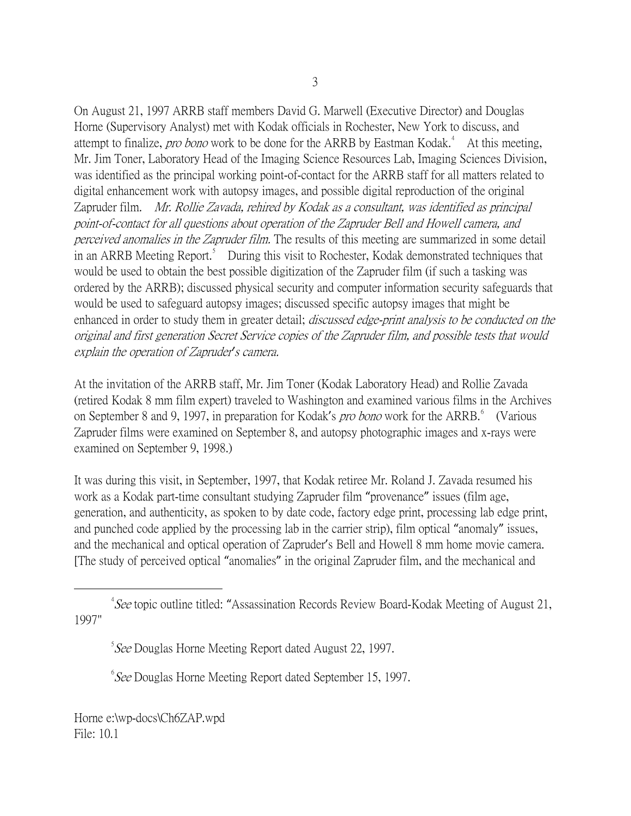On August 21, 1997 ARRB staff members David G. Marwell (Executive Director) and Douglas Horne (Supervisory Analyst) met with Kodak officials in Rochester, New York to discuss, and attempt to finalize, *pro bono* work to be done for the ARRB by Eastman Kodak.<sup>[4](#page-2-0)</sup> At this meeting, Mr. Jim Toner, Laboratory Head of the Imaging Science Resources Lab, Imaging Sciences Division, was identified as the principal working point-of-contact for the ARRB staff for all matters related to digital enhancement work with autopsy images, and possible digital reproduction of the original Zapruder film. Mr. Rollie Zavada, rehired by Kodak as a consultant, was identified as principal point-of-contact for all questions about operation of the Zapruder Bell and Howell camera, and perceived anomalies in the Zapruder film. The results of this meeting are summarized in some detail in an ARRB Meeting Report.<sup>[5](#page-2-1)</sup> During this visit to Rochester, Kodak demonstrated techniques that would be used to obtain the best possible digitization of the Zapruder film (if such a tasking was ordered by the ARRB); discussed physical security and computer information security safeguards that would be used to safeguard autopsy images; discussed specific autopsy images that might be enhanced in order to study them in greater detail; *discussed edge-print analysis to be conducted on the* original and first generation Secret Service copies of the Zapruder film, and possible tests that would explain the operation of Zapruder*'*s camera.

At the invitation of the ARRB staff, Mr. Jim Toner (Kodak Laboratory Head) and Rollie Zavada (retired Kodak 8 mm film expert) traveled to Washington and examined various films in the Archives on September 8 and 9, 1997, in preparation for Kodak's *pro bono* work for the ARRB. <sup>[6](#page-2-2)</sup> (Various Zapruder films were examined on September 8, and autopsy photographic images and x-rays were examined on September 9, 1998.)

It was during this visit, in September, 1997, that Kodak retiree Mr. Roland J. Zavada resumed his work as a Kodak part-time consultant studying Zapruder film "provenance" issues (film age, generation, and authenticity, as spoken to by date code, factory edge print, processing lab edge print, and punched code applied by the processing lab in the carrier strip), film optical "anomaly" issues, and the mechanical and optical operation of Zapruder's Bell and Howell 8 mm home movie camera. [The study of perceived optical "anomalies" in the original Zapruder film, and the mechanical and

<span id="page-2-2"></span><sup>6</sup> See Douglas Horne Meeting Report dated September 15, 1997.

<span id="page-2-1"></span><span id="page-2-0"></span> $\frac{1}{4}$  ${}^{4}See$  topic outline titled: "Assassination Records Review Board-Kodak Meeting of August 21, 1997"

<sup>&</sup>lt;sup>5</sup> See Douglas Horne Meeting Report dated August 22, 1997.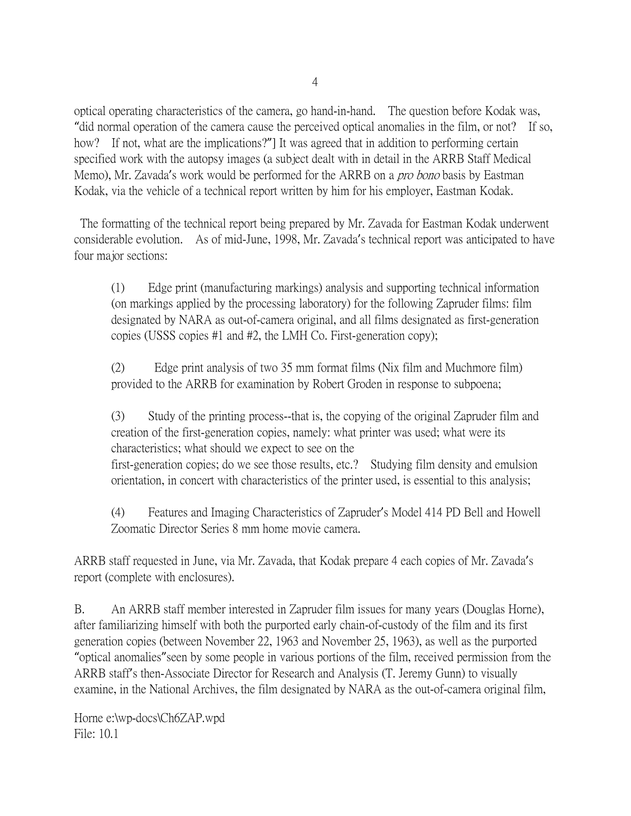optical operating characteristics of the camera, go hand-in-hand. The question before Kodak was, "did normal operation of the camera cause the perceived optical anomalies in the film, or not? If so, how? If not, what are the implications?"] It was agreed that in addition to performing certain specified work with the autopsy images (a subject dealt with in detail in the ARRB Staff Medical Memo), Mr. Zavada's work would be performed for the ARRB on a *pro bono* basis by Eastman Kodak, via the vehicle of a technical report written by him for his employer, Eastman Kodak.

The formatting of the technical report being prepared by Mr. Zavada for Eastman Kodak underwent considerable evolution. As of mid-June, 1998, Mr. Zavada's technical report was anticipated to have four major sections:

(1) Edge print (manufacturing markings) analysis and supporting technical information (on markings applied by the processing laboratory) for the following Zapruder films: film designated by NARA as out-of-camera original, and all films designated as first-generation copies (USSS copies #1 and #2, the LMH Co. First-generation copy);

(2) Edge print analysis of two 35 mm format films (Nix film and Muchmore film) provided to the ARRB for examination by Robert Groden in response to subpoena;

(3) Study of the printing process--that is, the copying of the original Zapruder film and creation of the first-generation copies, namely: what printer was used; what were its characteristics; what should we expect to see on the first-generation copies; do we see those results, etc.? Studying film density and emulsion orientation, in concert with characteristics of the printer used, is essential to this analysis;

(4) Features and Imaging Characteristics of Zapruder's Model 414 PD Bell and Howell Zoomatic Director Series 8 mm home movie camera.

ARRB staff requested in June, via Mr. Zavada, that Kodak prepare 4 each copies of Mr. Zavada's report (complete with enclosures).

B. An ARRB staff member interested in Zapruder film issues for many years (Douglas Horne), after familiarizing himself with both the purported early chain-of-custody of the film and its first generation copies (between November 22, 1963 and November 25, 1963), as well as the purported "optical anomalies"seen by some people in various portions of the film, received permission from the ARRB staff's then-Associate Director for Research and Analysis (T. Jeremy Gunn) to visually examine, in the National Archives, the film designated by NARA as the out-of-camera original film,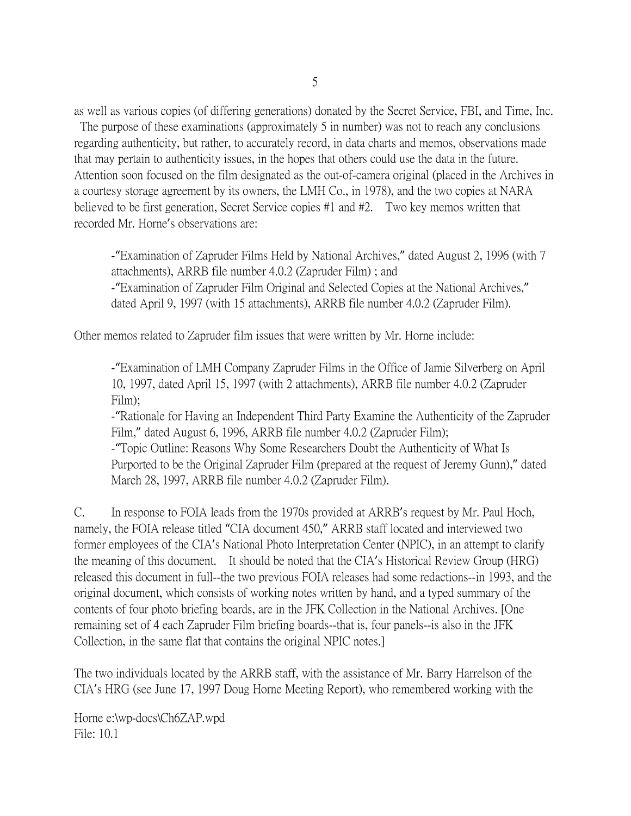as well as various copies (of differing generations) donated by the Secret Service, FBI, and Time, Inc.

The purpose of these examinations (approximately 5 in number) was not to reach any conclusions regarding authenticity, but rather, to accurately record, in data charts and memos, observations made that may pertain to authenticity issues, in the hopes that others could use the data in the future. Attention soon focused on the film designated as the out-of-camera original (placed in the Archives in a courtesy storage agreement by its owners, the LMH Co., in 1978), and the two copies at NARA believed to be first generation, Secret Service copies #1 and #2. Two key memos written that recorded Mr. Horne's observations are:

-"Examination of Zapruder Films Held by National Archives," dated August 2, 1996 (with 7 attachments), ARRB file number 4.0.2 (Zapruder Film) ; and -"Examination of Zapruder Film Original and Selected Copies at the National Archives," dated April 9, 1997 (with 15 attachments), ARRB file number 4.0.2 (Zapruder Film).

Other memos related to Zapruder film issues that were written by Mr. Horne include:

-"Examination of LMH Company Zapruder Films in the Office of Jamie Silverberg on April 10, 1997, dated April 15, 1997 (with 2 attachments), ARRB file number 4.0.2 (Zapruder Film);

-"Rationale for Having an Independent Third Party Examine the Authenticity of the Zapruder Film," dated August 6, 1996, ARRB file number 4.0.2 (Zapruder Film);

-"Topic Outline: Reasons Why Some Researchers Doubt the Authenticity of What Is Purported to be the Original Zapruder Film (prepared at the request of Jeremy Gunn)," dated March 28, 1997, ARRB file number 4.0.2 (Zapruder Film).

C. In response to FOIA leads from the 1970s provided at ARRB's request by Mr. Paul Hoch, namely, the FOIA release titled "CIA document 450," ARRB staff located and interviewed two former employees of the CIA's National Photo Interpretation Center (NPIC), in an attempt to clarify the meaning of this document. It should be noted that the CIA's Historical Review Group (HRG) released this document in full--the two previous FOIA releases had some redactions--in 1993, and the original document, which consists of working notes written by hand, and a typed summary of the contents of four photo briefing boards, are in the JFK Collection in the National Archives. [One remaining set of 4 each Zapruder Film briefing boards--that is, four panels--is also in the JFK Collection, in the same flat that contains the original NPIC notes.]

The two individuals located by the ARRB staff, with the assistance of Mr. Barry Harrelson of the CIA's HRG (see June 17, 1997 Doug Horne Meeting Report), who remembered working with the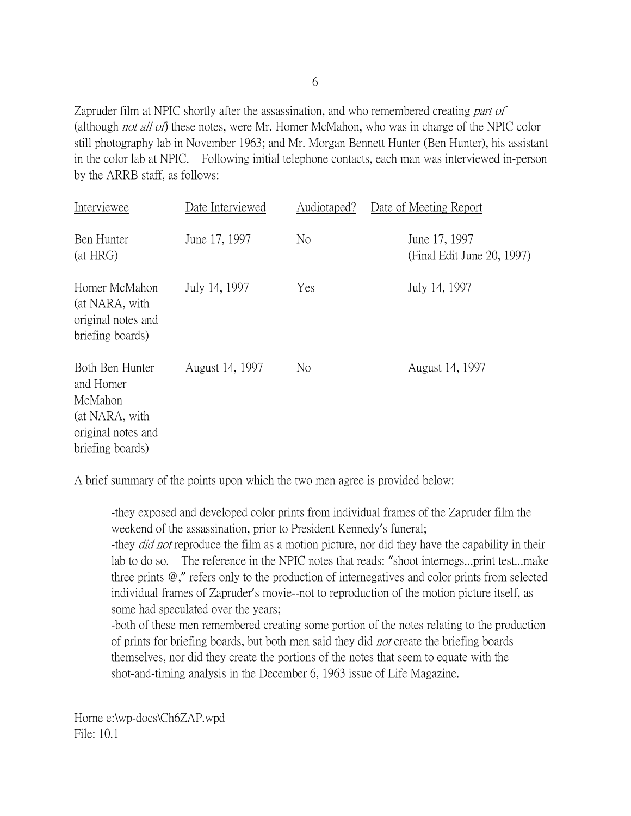Zapruder film at NPIC shortly after the assassination, and who remembered creating part of (although *not all of*) these notes, were Mr. Homer McMahon, who was in charge of the NPIC color still photography lab in November 1963; and Mr. Morgan Bennett Hunter (Ben Hunter), his assistant in the color lab at NPIC. Following initial telephone contacts, each man was interviewed in-person by the ARRB staff, as follows:

| Interviewee                                                                                         | Date Interviewed | Audiotaped?    | Date of Meeting Report                      |
|-----------------------------------------------------------------------------------------------------|------------------|----------------|---------------------------------------------|
| Ben Hunter<br>(at HRG)                                                                              | June 17, 1997    | N <sub>o</sub> | June 17, 1997<br>(Final Edit June 20, 1997) |
| Homer McMahon<br>(at NARA, with<br>original notes and<br>briefing boards)                           | July 14, 1997    | Yes            | July 14, 1997                               |
| Both Ben Hunter<br>and Homer<br>McMahon<br>(at NARA, with<br>original notes and<br>briefing boards) | August 14, 1997  | No.            | August 14, 1997                             |

A brief summary of the points upon which the two men agree is provided below:

-they exposed and developed color prints from individual frames of the Zapruder film the weekend of the assassination, prior to President Kennedy's funeral;

-they *did not* reproduce the film as a motion picture, nor did they have the capability in their lab to do so. The reference in the NPIC notes that reads: "shoot internegs...print test...make three prints @," refers only to the production of internegatives and color prints from selected individual frames of Zapruder's movie--not to reproduction of the motion picture itself, as some had speculated over the years;

-both of these men remembered creating some portion of the notes relating to the production of prints for briefing boards, but both men said they did *not* create the briefing boards themselves, nor did they create the portions of the notes that seem to equate with the shot-and-timing analysis in the December 6, 1963 issue of Life Magazine.